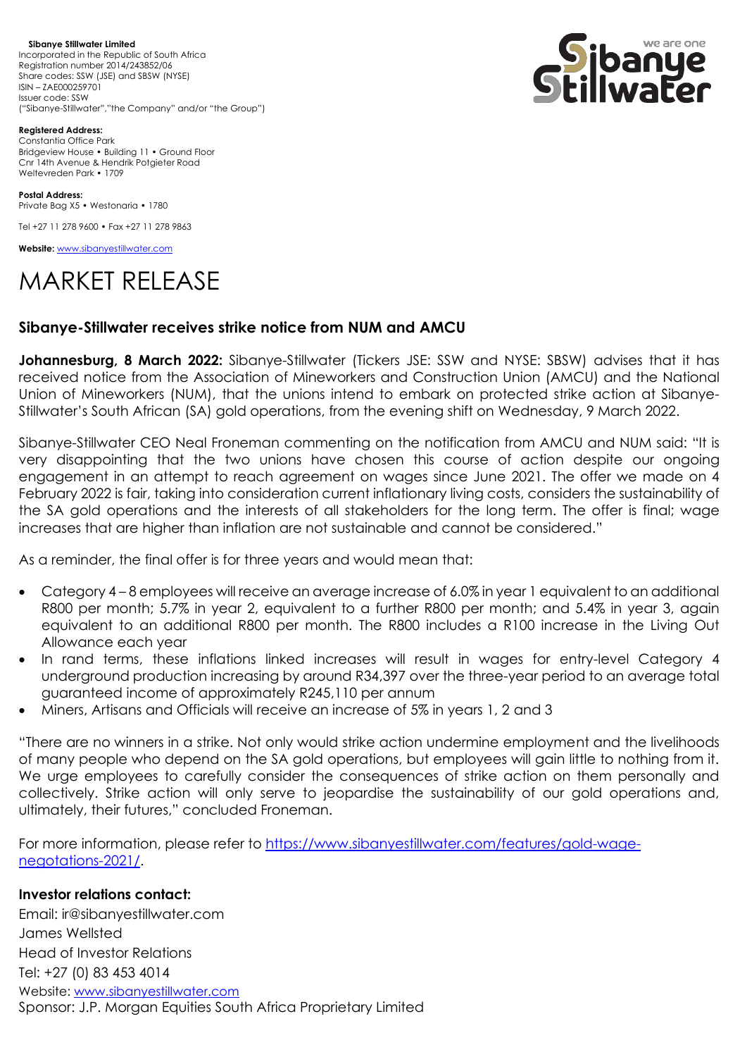**Sibanye Stillwater Limited**  Incorporated in the Republic of South Africa Registration number 2014/243852/06 Share codes: SSW (JSE) and SBSW (NYSE) ISIN – ZAE000259701 Issuer code: SSW ("Sibanye-Stillwater","the Company" and/or "the Group")



**Registered Address:** Constantia Office Park Bridgeview House • Building 11 • Ground Floor Cnr 14th Avenue & Hendrik Potgieter Road Weltevreden Park • 1709

**Postal Address:** Private Bag X5 • Westonaria • 1780

Tel +27 11 278 9600 • Fax +27 11 278 9863

**Website:** [www.sibanyestillwater.com](http://www.sibanyestillwater.com/)

## MARKET RELEASE

## **Sibanye-Stillwater receives strike notice from NUM and AMCU**

**Johannesburg, 8 March 2022:** Sibanye-Stillwater (Tickers JSE: SSW and NYSE: SBSW) advises that it has received notice from the Association of Mineworkers and Construction Union (AMCU) and the National Union of Mineworkers (NUM), that the unions intend to embark on protected strike action at Sibanye-Stillwater's South African (SA) gold operations, from the evening shift on Wednesday, 9 March 2022.

Sibanye-Stillwater CEO Neal Froneman commenting on the notification from AMCU and NUM said: "It is very disappointing that the two unions have chosen this course of action despite our ongoing engagement in an attempt to reach agreement on wages since June 2021. The offer we made on 4 February 2022 is fair, taking into consideration current inflationary living costs, considers the sustainability of the SA gold operations and the interests of all stakeholders for the long term. The offer is final; wage increases that are higher than inflation are not sustainable and cannot be considered."

As a reminder, the final offer is for three years and would mean that:

- Category 4 8 employees will receive an average increase of 6.0% in year 1 equivalent to an additional R800 per month; 5.7% in year 2, equivalent to a further R800 per month; and 5.4% in year 3, again equivalent to an additional R800 per month. The R800 includes a R100 increase in the Living Out Allowance each year
- In rand terms, these inflations linked increases will result in wages for entry-level Category 4 underground production increasing by around R34,397 over the three-year period to an average total guaranteed income of approximately R245,110 per annum
- Miners, Artisans and Officials will receive an increase of 5% in years 1, 2 and 3

"There are no winners in a strike. Not only would strike action undermine employment and the livelihoods of many people who depend on the SA gold operations, but employees will gain little to nothing from it. We urge employees to carefully consider the consequences of strike action on them personally and collectively. Strike action will only serve to jeopardise the sustainability of our gold operations and, ultimately, their futures," concluded Froneman.

For more information, please refer to [https://www.sibanyestillwater.com/features/gold-wage](https://www.sibanyestillwater.com/features/gold-wage-negotations-2021/)[negotations-2021/.](https://www.sibanyestillwater.com/features/gold-wage-negotations-2021/)

## **Investor relations contact:**

Email: ir@sibanyestillwater.com James Wellsted Head of Investor Relations Tel: +27 (0) 83 453 4014 Website: [www.sibanyestillwater.com](http://www.sibanyestillwater.com/) Sponsor: J.P. Morgan Equities South Africa Proprietary Limited